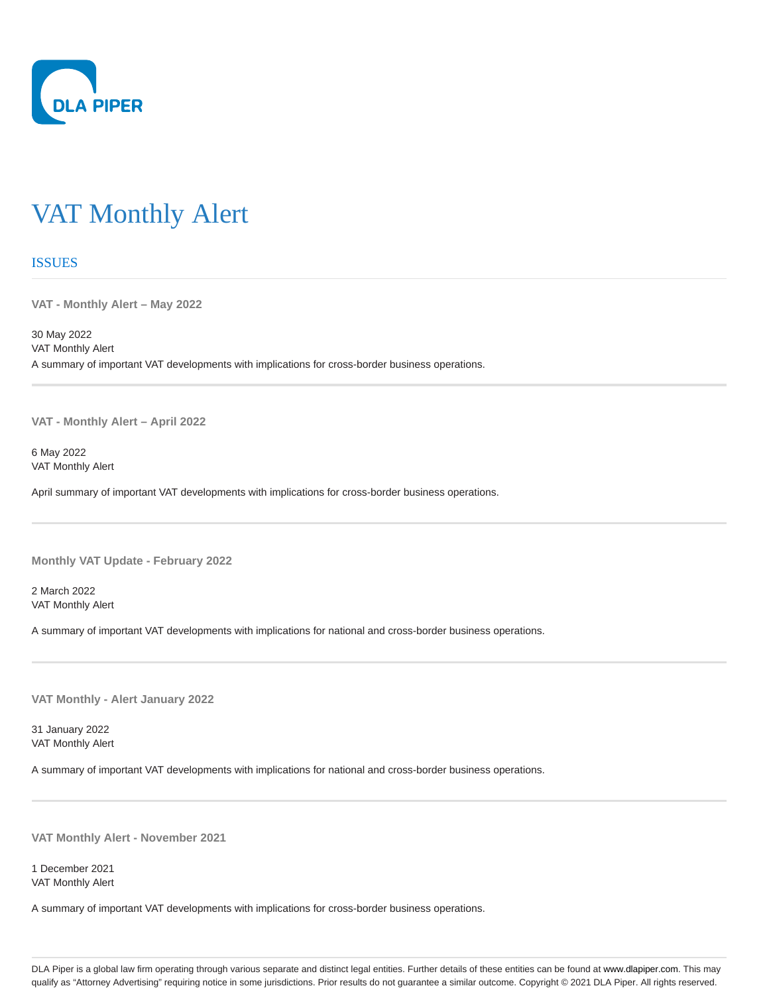

## VAT Monthly Alert

## **ISSUES**

**VAT - Monthly Alert – May 2022**

30 May 2022 VAT Monthly Alert A summary of important VAT developments with implications for cross-border business operations.

**VAT - Monthly Alert – April 2022**

6 May 2022 VAT Monthly Alert

April summary of important VAT developments with implications for cross-border business operations.

**Monthly VAT Update - February 2022**

2 March 2022 VAT Monthly Alert

A summary of important VAT developments with implications for national and cross-border business operations.

**VAT Monthly - Alert January 2022**

31 January 2022 VAT Monthly Alert

A summary of important VAT developments with implications for national and cross-border business operations.

**VAT Monthly Alert - November 2021**

1 December 2021 VAT Monthly Alert

A summary of important VAT developments with implications for cross-border business operations.

DLA Piper is a global law firm operating through various separate and distinct legal entities. Further details of these entities can be found at www.dlapiper.com. This may qualify as "Attorney Advertising" requiring notice in some jurisdictions. Prior results do not guarantee a similar outcome. Copyright @ 2021 DLA Piper. All rights reserved.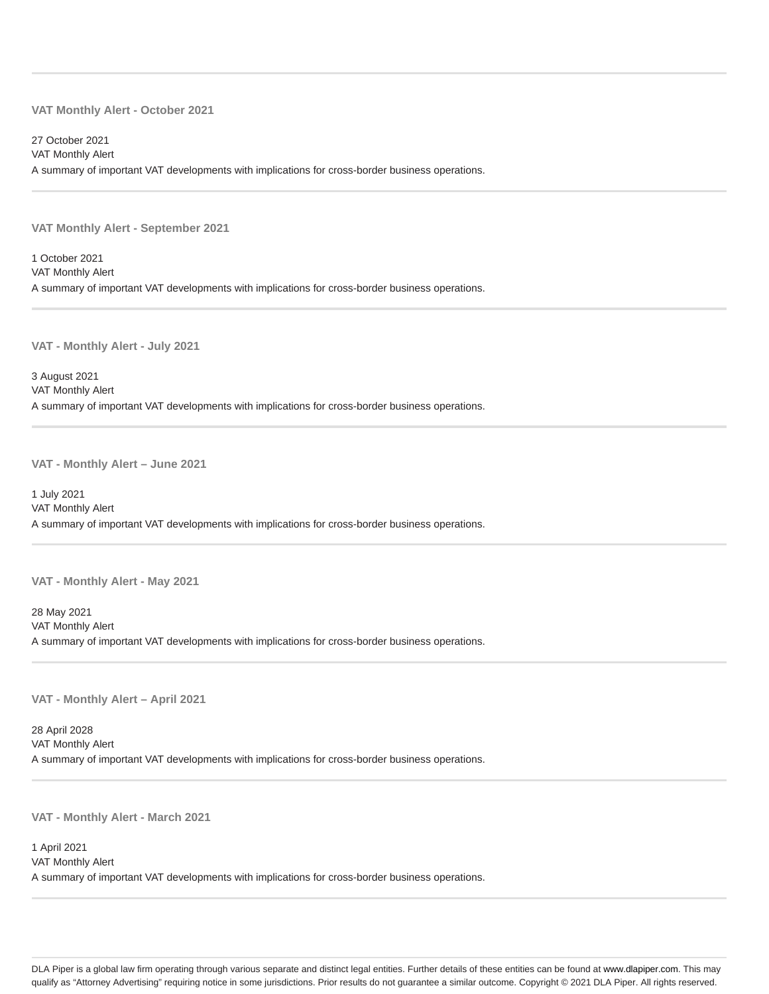## **VAT Monthly Alert - October 2021**

27 October 2021 VAT Monthly Alert A summary of important VAT developments with implications for cross-border business operations.

**VAT Monthly Alert - September 2021**

1 October 2021 VAT Monthly Alert A summary of important VAT developments with implications for cross-border business operations.

**VAT - Monthly Alert - July 2021**

3 August 2021 VAT Monthly Alert A summary of important VAT developments with implications for cross-border business operations.

**VAT - Monthly Alert – June 2021**

1 July 2021 VAT Monthly Alert A summary of important VAT developments with implications for cross-border business operations.

**VAT - Monthly Alert - May 2021**

28 May 2021 VAT Monthly Alert A summary of important VAT developments with implications for cross-border business operations.

**VAT - Monthly Alert – April 2021**

28 April 2028 VAT Monthly Alert A summary of important VAT developments with implications for cross-border business operations.

**VAT - Monthly Alert - March 2021**

1 April 2021 VAT Monthly Alert A summary of important VAT developments with implications for cross-border business operations.

DLA Piper is a global law firm operating through various separate and distinct legal entities. Further details of these entities can be found at www.dlapiper.com. This may qualify as "Attorney Advertising" requiring notice in some jurisdictions. Prior results do not guarantee a similar outcome. Copyright @ 2021 DLA Piper. All rights reserved.